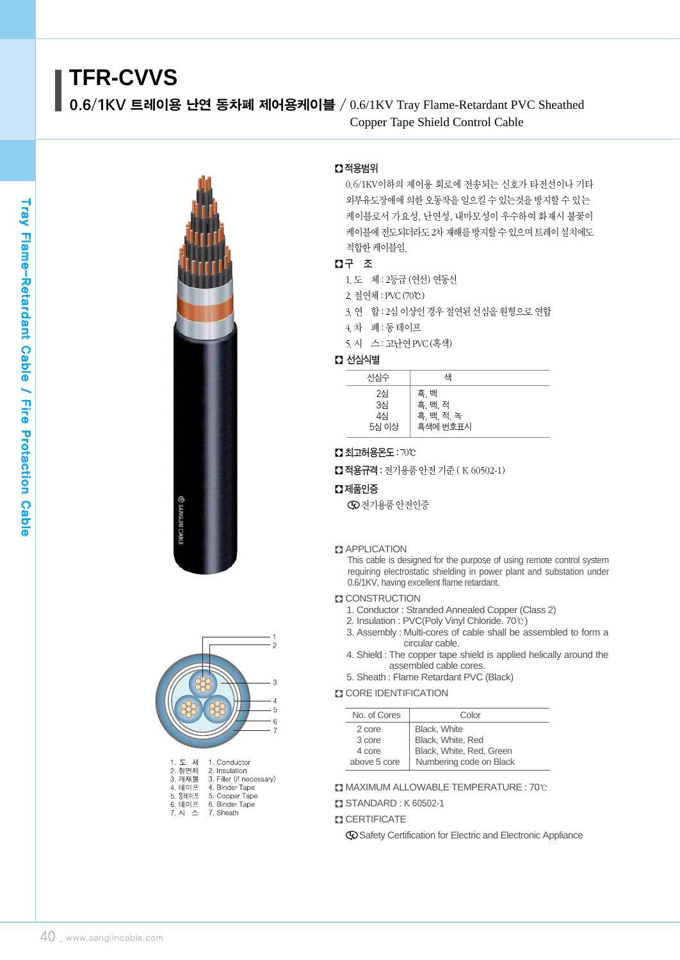0.6/1KV 트레이용 난연 동차폐 제어용케이블 / 0.6/1KV Tray Flame-Retardant PVC Sheathed Copper Tape Shield Control Cable





| .       | vunuun                   |
|---------|--------------------------|
| 2. 절연체  | 2. Insulation            |
| 3. 개재물  | 3. Filler (if necessary) |
| 4. 테이프  | 4. Binder Tape           |
| 5. 동테이프 | 5. Copper Tape           |
| 6. 테이프  | 6. Binder Tape           |
| 7. 시 스  | 7. Sheath                |
|         |                          |

# � 적용범위

0.6/1KV이하의 제어용 회로에 전송되는 신호가 타전선이나 기타 외부유도장애에 의한 오동작을 일으킬 수 있는것을 방지할 수 있는 케이블로서 가요성, 난연성, 내마모성이 우수하여 화재시 불꽃이 케이블에 전도되더라도 2차 재해를 방지할 수 있으며 트레이 설치에도 적합한케이블임.

# � 구 조

- 1.도 체 : 2등급 (연선) 연동선
- 2.절연체 : PVC(70℃)
- 3. 연 합 : 2심 이상인 경우 절연된 선심을 원형으로 연합
- 4.차 폐 : 동 테이프
- 5.시 스 : 고난연PVC(흑색)

#### ■ 선심식별

| 선심수                     | 색                                         |  |
|-------------------------|-------------------------------------------|--|
| 2심<br>3심<br>4심<br>5심 이상 | 흑, 백<br>흑, 백, 적<br>흑, 백, 적, 녹<br>흑색에 번호표시 |  |

## � 최고허용온도: 70℃

■ 적용규격 : 전기용품 안전 기준 (K 60502-1)

#### � 제품인증

전기용품 안전인증

#### **B** APPLICATION

This cable is designed for the purpose of using remote control system requiring electrostatic shielding in power plant and substation under 0.6/1KV, having excellent flame retardant.

## **ET CONSTRUCTION**

- 1. Conductor : Stranded Annealed Copper (Class 2)
- 2. Insulation : PVC(Poly Vinyl Chloride. 70℃)
- 3. Assembly : Multi-cores of cable shall be assembled to form a circular cable.
- 4. Shield : The copper tape shield is applied helically around the assembled cable cores.
- 5. Sheath : Flame Retardant PVC (Black)

#### **CORE IDENTIFICATION**

| No. of Cores | Color                    |
|--------------|--------------------------|
| 2 core       | <b>Black.</b> White      |
| 3 core       | Black, White, Red        |
| 4 core       | Black, White, Red, Green |
| above 5 core | Numbering code on Black  |

� MAXIMUM ALLOWABLE TEMPERATURE : 70℃

- � STANDARD : K 60502-1
- **Z CERTIFICATE**

Safety Certification for Electric and Electronic Appliance